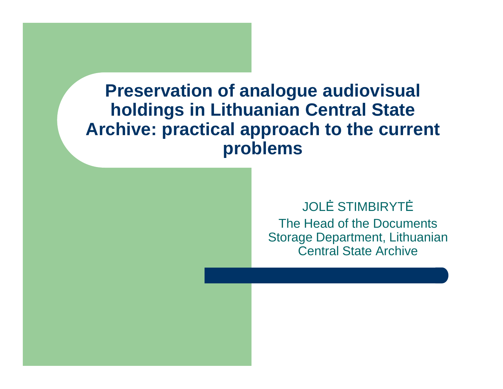JOLĖ STIMBIRYTĖ The Head of the Documents Storage Department, Lithuanian Central State Archive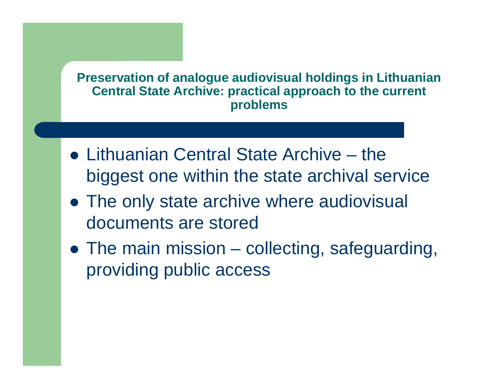- Lithuanian Central State Archive the biggest one within the state archival service
- The only state archive where audiovisual documents are stored
- The main mission collecting, safeguarding, providing public access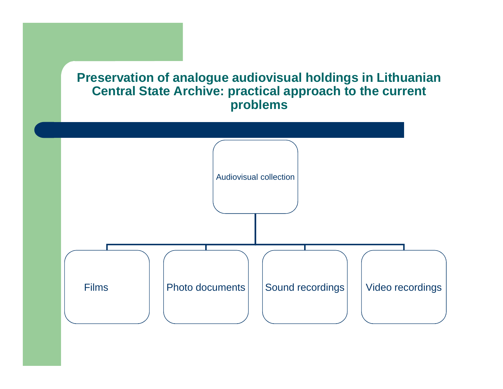

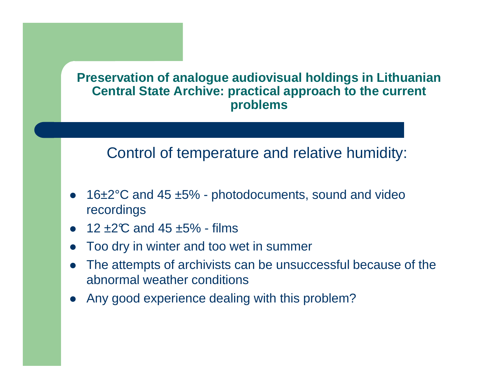## Control of temperature and relative humidity:

- $\bullet$ • 16 $\pm 2^{\circ}$ C and 45  $\pm 5%$  - photodocuments, sound and video recordings
- $12 \pm 2^\circ \text{C}$  and  $45 \pm 5\%$  films
- $\bullet$ Too dry in winter and too wet in summer
- $\bullet$  The attempts of archivists can be unsuccessful because of the abnormal weather conditions
- $\bullet$ Any good experience dealing with this problem?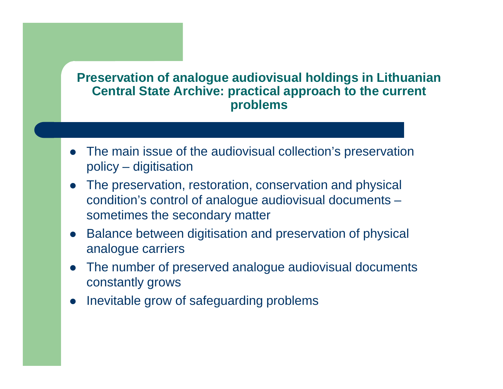- $\bullet$  The main issue of the audiovisual collection's preservation policy – digitisation
- $\bullet$  The preservation, restoration, conservation and physical condition's control of analogue audiovisual documents  $\mathcal{L}_{\mathcal{A}}$  , and the set of  $\mathcal{L}_{\mathcal{A}}$ sometimes the secondary matter
- $\bullet$  Balance between digitisation and preservation of physical analogue carriers
- $\bullet$  The number of preserved analogue audiovisual documents constantly grows
- $\bullet$ Inevitable grow of safeguarding problems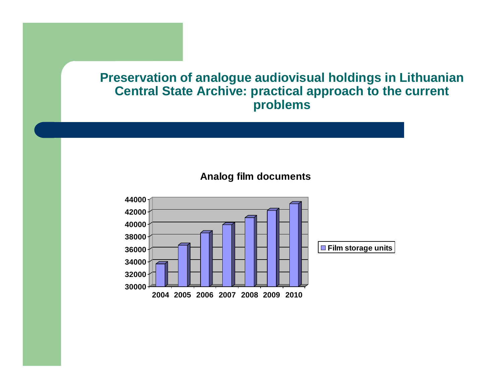#### **Analog film documents**

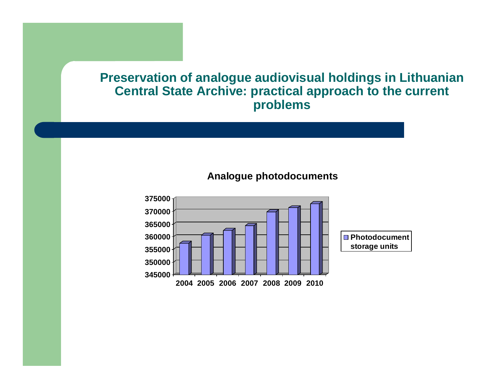#### **Analogue photodocuments**

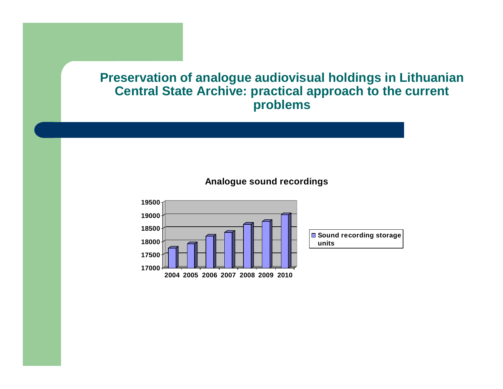#### **Analogue sound recordings**

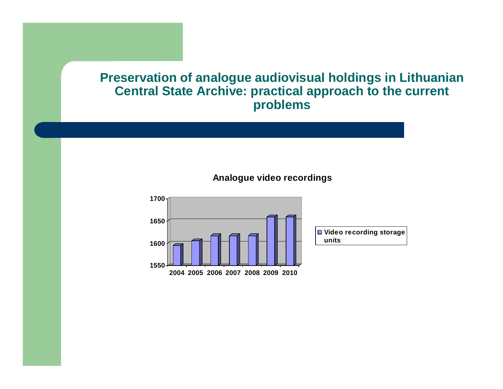#### **Analogue video recordings**

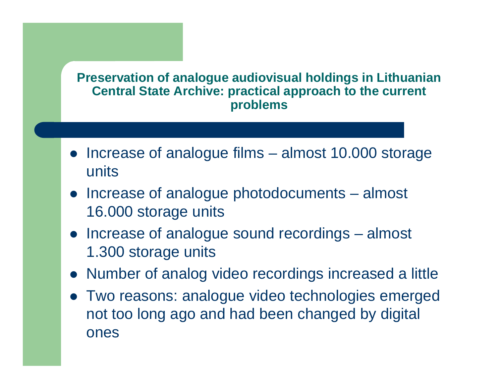- Increase of analogue films  $-$  almost 10.000 storage units
- Increase of analogue photodocuments – almost 16.000 storage units
- Increase of analogue sound recordings almost 1.300 storage units
- Number of analog video recordings increased a little
- Two reasons: analogue video technologies emerged not too long ago and had been changed by digital ones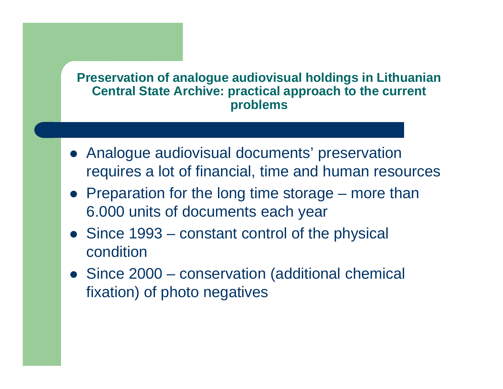- Analogue audiovisual documents' preservation requires a lot of financial, time and human resources
- Preparation for the long time storage –– more than 6.000 units of documents each year
- Since 1993 constant control of the physical condition
- Since 2000 conservation (additional chemical fixation) of photo negatives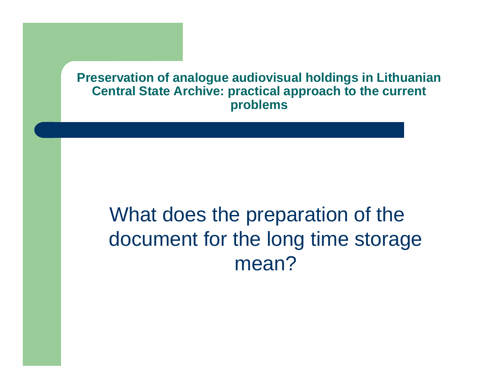# What does the preparation of the document for the long time storage mean?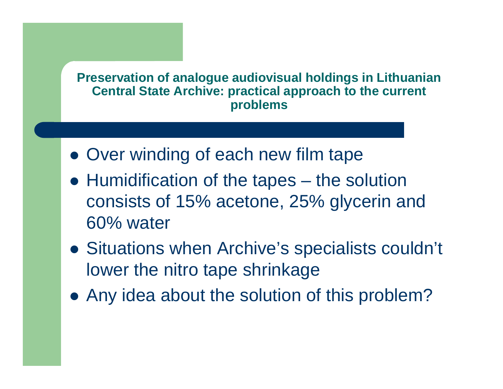- Over winding of each new film tape
- Humidification of the tapes the solution consists of 15% acetone, 25 % glycerin and 60% water
- Situations when Archive's specialists couldn't lower the nitro tape shrinkage
- Any idea about the solution of this problem?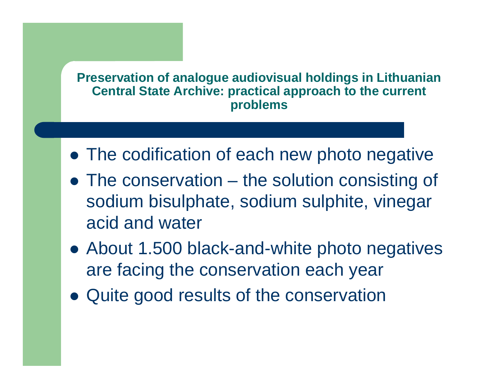- The codification of each new photo negative
- The conservation the solution consisting of sodium bisulphate, sodium sulphite, vinegar acid and water
- About 1.500 black-and-white photo negatives are facing the conservation each year
- Quite good results of the conservation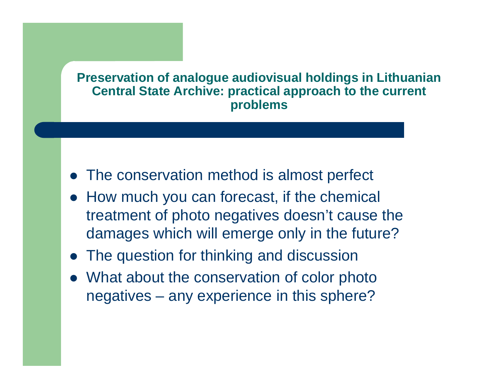- The conservation method is almost perfect
- How much you can forecast, if the chemical treatment of photo negatives doesn't cause the damages which will emerge only in the future?
- **The question for thinking and discussion**
- What about the conservation of color photo negatives – any experience in this sphere?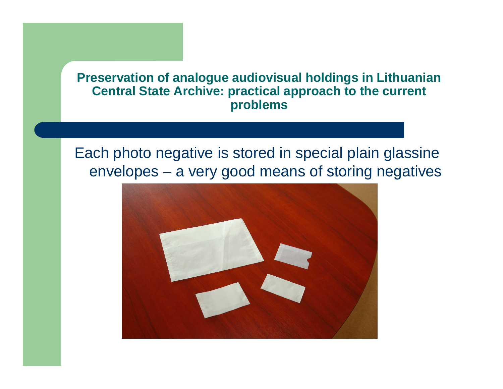## Each photo negative is stored in special plain glassine envelopes – a very good means of storing negatives

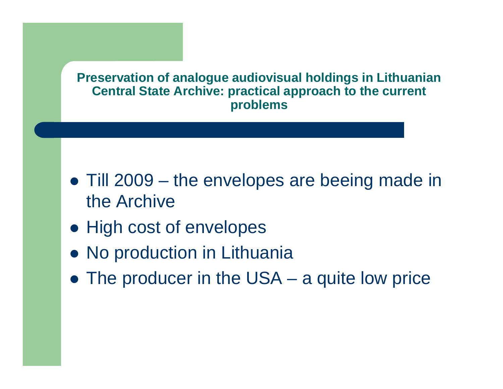- Till 2009 the envelopes are beeing made in the Archive
- **High cost of envelopes**
- **No production in Lithuania**
- The producer in the USA a quite low price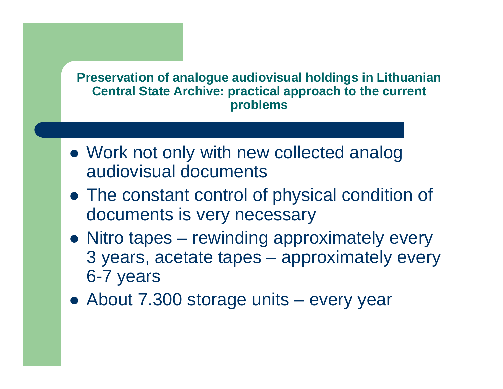- Work not only with new collected analog audiovisual documents
- The constant control of physical condition of documents is very necessary
- Nitro tapes rewinding approximately every 3 years, acetate tapes – approximately every 6-7 years
- About 7.300 storage units every year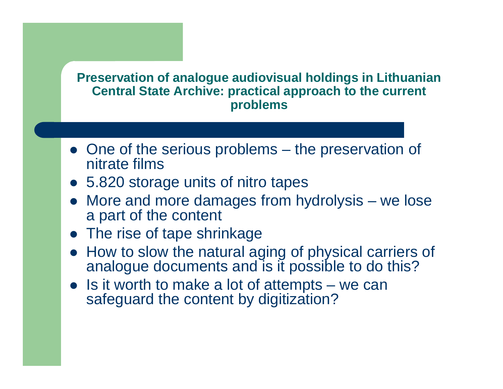- One of the serious problems the preservation of nitrate films nitrate films
- 5.820 storage units of nitro tapes
- More and more damages from hydrolysis we lose a part of the content
- The rise of tape shrinkage
- How to slow the natural aging of physical carriers of analogue documents and is it possible to do this?
- $\bullet$  Is it worth to make a lot of attempts we can<br>extend the content by digitization? safeguard the content by digitization?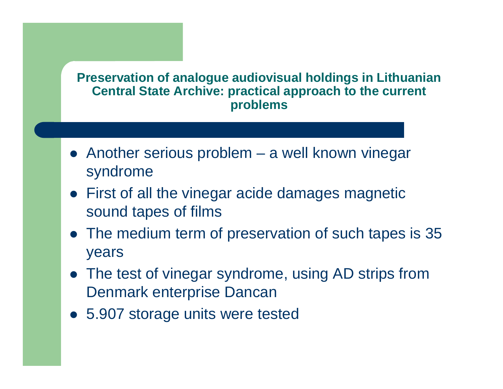- Another serious problem a well known vinegar syndrome
- First of all the vinegar acide damages magnetic sound tapes of films
- The medium term of preservation of such tapes is 35 years
- The test of vinegar syndrome, using AD strips from Denmark enterprise Dancan
- 5.907 storage units were tested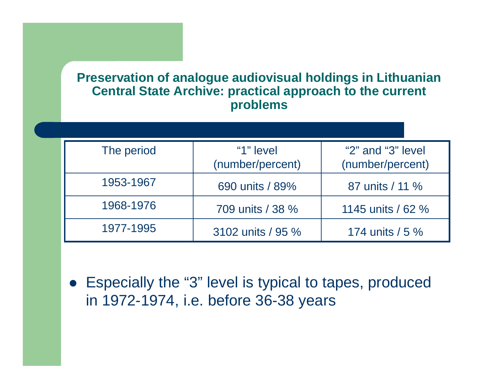| The period | "1" level<br>(number/percent) | " $2$ " and " $3$ " level<br>(number/percent) |
|------------|-------------------------------|-----------------------------------------------|
| 1953-1967  | 690 units / 89%               | 87 units / 11 %                               |
| 1968-1976  | 709 units / 38 %              | 1145 units / 62 %                             |
| 1977-1995  | 3102 units / 95 %             | 174 units $/5 \%$                             |

• Especially the "3" level is typical to tapes, produced in 1972-1974, i.e. before 36-38 years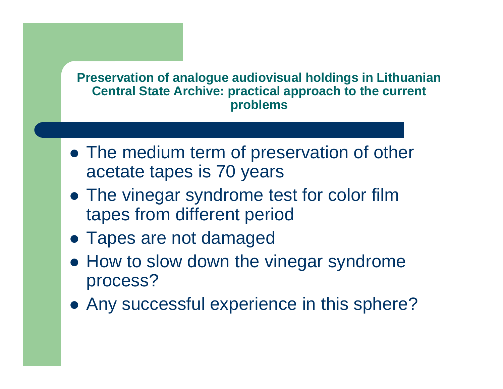- The medium term of preservation of other acetate tapes is 70 years
- The vinegar syndrome test for color film tapes from different period
- Tapes are not damaged
- How to slow down the vinegar syndrome process?
- Any successful experience in this sphere?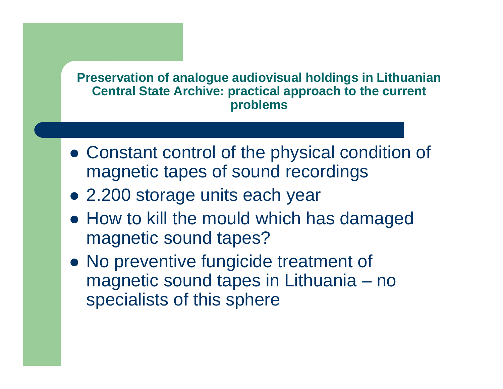- Constant control of the physical condition of magnetic tapes of sound recordings
- 2.200 storage units each year
- How to kill the mould which has damaged magnetic sound tapes?
- No preventive fungicide treatment of magnetic sound tapes in Lithuania – no specialists of this sphere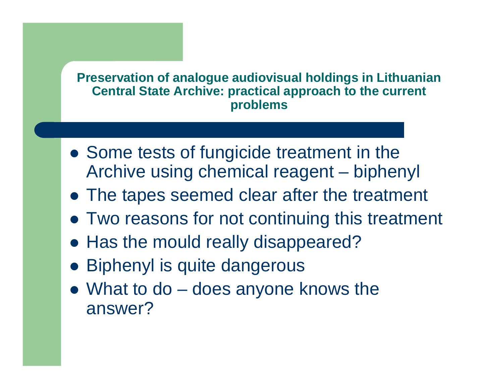- Some tests of fungicide treatment in the Archive using chemical reagent – biphenyl
- The tapes seemed clear after the treatment
- Two reasons for not continuing this treatment
- Has the mould really disappeared?
- Biphenyl is quite dangerous
- What to do does anyone knows the answer?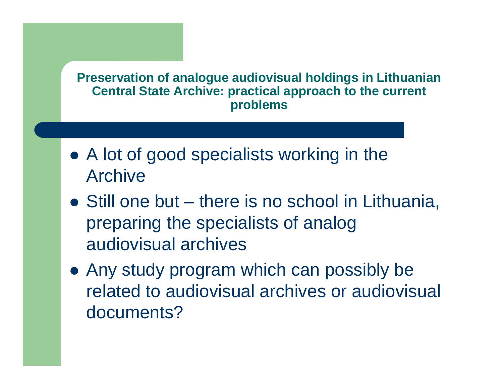- A lot of good specialists working in the Archive
- Still one but  $\mathcal{L}_{\mathcal{A}}$  , the state of the state  $\mathcal{L}_{\mathcal{A}}$ – there is no school in Lithuania, preparing the specialists of analog audiovisual archives
- Any study program which can possibly be related to audiovisual archives or audiovisual documents?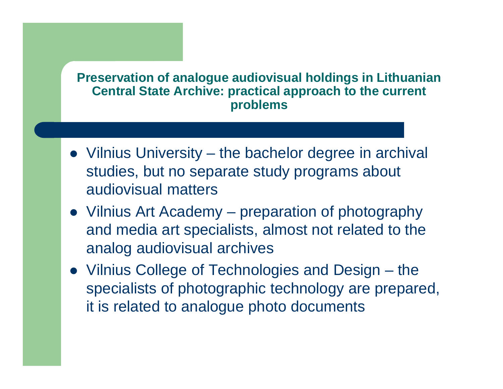- Vilnius University the bachelor degree in archival studies, but no separate study programs about audiovisual matters
- Vilnius Art Academy preparation of photography and media art specialists, almost not related to the analog audiovisual archives
- Vilnius College of Technologies and Design the specialists of photographic technology are prepared, it is related to analogue photo documents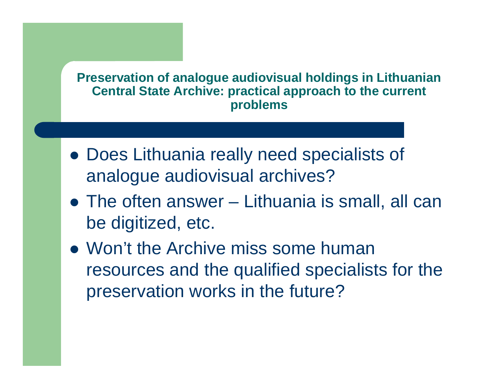- Does Lithuania really need specialists of analogue audiovisual archives?
- The often answer  $\mathcal{L}_{\mathcal{A}}$  , the state of the state  $\mathcal{L}_{\mathcal{A}}$  Lithuania is small, all can be digitized, etc.
- Won't the Archive miss some human resources and the qualified specialists for the preservation works in the future?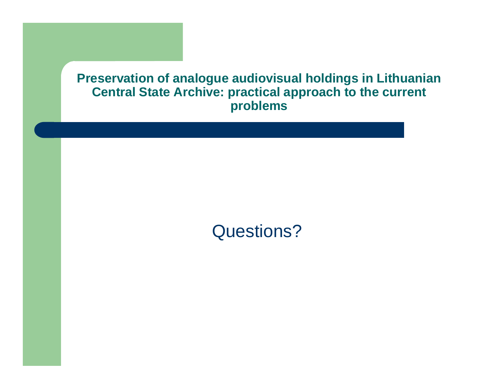# Questions?